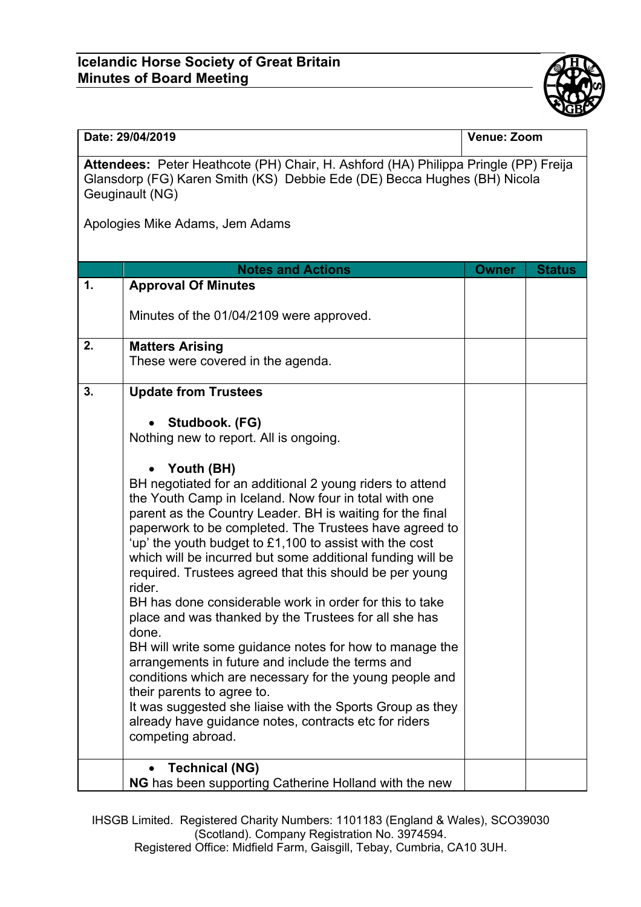## **Icelandic Horse Society of Great Britain Minutes of Board Meeting**



| Date: 29/04/2019                                                                                                                                                                   |                                                                                                                                                                                                                                                                                                                                                                                                                                                                                                                                                                                                                                                                                                                                                                                                                                                                                                                                                                                                  | Venue: Zoom  |               |  |
|------------------------------------------------------------------------------------------------------------------------------------------------------------------------------------|--------------------------------------------------------------------------------------------------------------------------------------------------------------------------------------------------------------------------------------------------------------------------------------------------------------------------------------------------------------------------------------------------------------------------------------------------------------------------------------------------------------------------------------------------------------------------------------------------------------------------------------------------------------------------------------------------------------------------------------------------------------------------------------------------------------------------------------------------------------------------------------------------------------------------------------------------------------------------------------------------|--------------|---------------|--|
| Attendees: Peter Heathcote (PH) Chair, H. Ashford (HA) Philippa Pringle (PP) Freija<br>Glansdorp (FG) Karen Smith (KS) Debbie Ede (DE) Becca Hughes (BH) Nicola<br>Geuginault (NG) |                                                                                                                                                                                                                                                                                                                                                                                                                                                                                                                                                                                                                                                                                                                                                                                                                                                                                                                                                                                                  |              |               |  |
| Apologies Mike Adams, Jem Adams                                                                                                                                                    |                                                                                                                                                                                                                                                                                                                                                                                                                                                                                                                                                                                                                                                                                                                                                                                                                                                                                                                                                                                                  |              |               |  |
|                                                                                                                                                                                    | <b>Notes and Actions</b>                                                                                                                                                                                                                                                                                                                                                                                                                                                                                                                                                                                                                                                                                                                                                                                                                                                                                                                                                                         |              | <b>Status</b> |  |
| 1.                                                                                                                                                                                 | <b>Approval Of Minutes</b>                                                                                                                                                                                                                                                                                                                                                                                                                                                                                                                                                                                                                                                                                                                                                                                                                                                                                                                                                                       | <b>Owner</b> |               |  |
|                                                                                                                                                                                    | Minutes of the 01/04/2109 were approved.                                                                                                                                                                                                                                                                                                                                                                                                                                                                                                                                                                                                                                                                                                                                                                                                                                                                                                                                                         |              |               |  |
| 2.                                                                                                                                                                                 | <b>Matters Arising</b><br>These were covered in the agenda.                                                                                                                                                                                                                                                                                                                                                                                                                                                                                                                                                                                                                                                                                                                                                                                                                                                                                                                                      |              |               |  |
| 3.                                                                                                                                                                                 | <b>Update from Trustees</b>                                                                                                                                                                                                                                                                                                                                                                                                                                                                                                                                                                                                                                                                                                                                                                                                                                                                                                                                                                      |              |               |  |
|                                                                                                                                                                                    | Studbook. (FG)<br>Nothing new to report. All is ongoing.<br>Youth (BH)<br>BH negotiated for an additional 2 young riders to attend<br>the Youth Camp in Iceland. Now four in total with one<br>parent as the Country Leader. BH is waiting for the final<br>paperwork to be completed. The Trustees have agreed to<br>'up' the youth budget to £1,100 to assist with the cost<br>which will be incurred but some additional funding will be<br>required. Trustees agreed that this should be per young<br>rider.<br>BH has done considerable work in order for this to take<br>place and was thanked by the Trustees for all she has<br>done.<br>BH will write some guidance notes for how to manage the<br>arrangements in future and include the terms and<br>conditions which are necessary for the young people and<br>their parents to agree to.<br>It was suggested she liaise with the Sports Group as they<br>already have guidance notes, contracts etc for riders<br>competing abroad. |              |               |  |
|                                                                                                                                                                                    | <b>Technical (NG)</b><br>NG has been supporting Catherine Holland with the new                                                                                                                                                                                                                                                                                                                                                                                                                                                                                                                                                                                                                                                                                                                                                                                                                                                                                                                   |              |               |  |

IHSGB Limited. Registered Charity Numbers: 1101183 (England & Wales), SCO39030 (Scotland). Company Registration No. 3974594. Registered Office: Midfield Farm, Gaisgill, Tebay, Cumbria, CA10 3UH.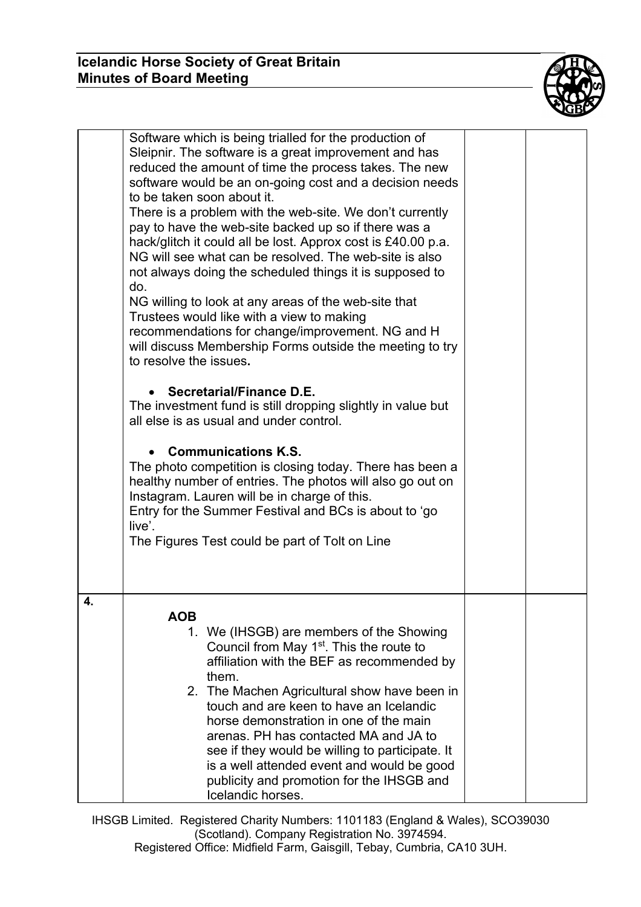

|    | Software which is being trialled for the production of<br>Sleipnir. The software is a great improvement and has<br>reduced the amount of time the process takes. The new<br>software would be an on-going cost and a decision needs<br>to be taken soon about it.<br>There is a problem with the web-site. We don't currently<br>pay to have the web-site backed up so if there was a<br>hack/glitch it could all be lost. Approx cost is £40.00 p.a.<br>NG will see what can be resolved. The web-site is also<br>not always doing the scheduled things it is supposed to<br>do.<br>NG willing to look at any areas of the web-site that<br>Trustees would like with a view to making<br>recommendations for change/improvement. NG and H<br>will discuss Membership Forms outside the meeting to try<br>to resolve the issues.<br>Secretarial/Finance D.E.<br>The investment fund is still dropping slightly in value but<br>all else is as usual and under control.<br><b>Communications K.S.</b><br>The photo competition is closing today. There has been a<br>healthy number of entries. The photos will also go out on<br>Instagram. Lauren will be in charge of this.<br>Entry for the Summer Festival and BCs is about to 'go<br>live'.<br>The Figures Test could be part of Tolt on Line |  |
|----|----------------------------------------------------------------------------------------------------------------------------------------------------------------------------------------------------------------------------------------------------------------------------------------------------------------------------------------------------------------------------------------------------------------------------------------------------------------------------------------------------------------------------------------------------------------------------------------------------------------------------------------------------------------------------------------------------------------------------------------------------------------------------------------------------------------------------------------------------------------------------------------------------------------------------------------------------------------------------------------------------------------------------------------------------------------------------------------------------------------------------------------------------------------------------------------------------------------------------------------------------------------------------------------------------|--|
| 4. | <b>AOB</b><br>1. We (IHSGB) are members of the Showing<br>Council from May 1 <sup>st</sup> . This the route to<br>affiliation with the BEF as recommended by<br>them.<br>2. The Machen Agricultural show have been in<br>touch and are keen to have an Icelandic<br>horse demonstration in one of the main<br>arenas. PH has contacted MA and JA to<br>see if they would be willing to participate. It<br>is a well attended event and would be good<br>publicity and promotion for the IHSGB and<br>Icelandic horses.                                                                                                                                                                                                                                                                                                                                                                                                                                                                                                                                                                                                                                                                                                                                                                             |  |

IHSGB Limited. Registered Charity Numbers: 1101183 (England & Wales), SCO39030 (Scotland). Company Registration No. 3974594. Registered Office: Midfield Farm, Gaisgill, Tebay, Cumbria, CA10 3UH.